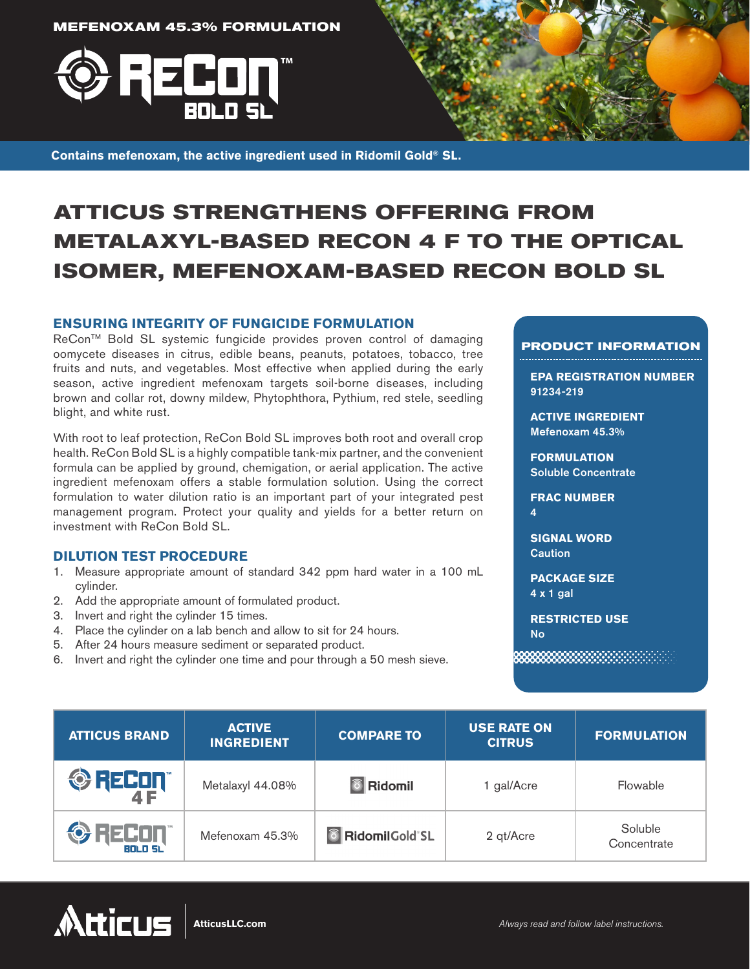**MEFENOXAM 45.3% FORMULATION**





**Contains mefenoxam, the active ingredient used in Ridomil Gold® SL.**

# **ATTICUS STRENGTHENS OFFERING FROM METALAXYL-BASED RECON 4 F TO THE OPTICAL ISOMER, MEFENOXAM-BASED RECON BOLD SL**

### **ENSURING INTEGRITY OF FUNGICIDE FORMULATION**

ReCon™ Bold SL systemic fungicide provides proven control of damaging oomycete diseases in citrus, edible beans, peanuts, potatoes, tobacco, tree fruits and nuts, and vegetables. Most effective when applied during the early season, active ingredient mefenoxam targets soil-borne diseases, including brown and collar rot, downy mildew, Phytophthora, Pythium, red stele, seedling blight, and white rust.

With root to leaf protection, ReCon Bold SL improves both root and overall crop health. ReCon Bold SL is a highly compatible tank-mix partner, and the convenient formula can be applied by ground, chemigation, or aerial application. The active ingredient mefenoxam offers a stable formulation solution. Using the correct formulation to water dilution ratio is an important part of your integrated pest management program. Protect your quality and yields for a better return on investment with ReCon Bold SL.

## **DILUTION TEST PROCEDURE**

- 1. Measure appropriate amount of standard 342 ppm hard water in a 100 mL cylinder.
- 2. Add the appropriate amount of formulated product.
- 3. Invert and right the cylinder 15 times.
- 4. Place the cylinder on a lab bench and allow to sit for 24 hours.
- 5. After 24 hours measure sediment or separated product.
- 6. Invert and right the cylinder one time and pour through a 50 mesh sieve.

#### **PRODUCT INFORMATION**

**EPA REGISTRATION NUMBER**  91234-219

**ACTIVE INGREDIENT**  Mefenoxam 45.3%

**FORMULATION**  Soluble Concentrate

#### **FRAC NUMBER**  4

**SIGNAL WORD Caution** 

**PACKAGE SIZE**  4 x 1 gal

**RESTRICTED USE** No

| <b>ATTICUS BRAND</b>            | <b>ACTIVE</b><br><b>INGREDIENT</b> | <b>COMPARE TO</b>       | <b>USE RATE ON</b><br><b>CITRUS</b> | <b>FORMULATION</b>     |
|---------------------------------|------------------------------------|-------------------------|-------------------------------------|------------------------|
| <b>ORECON</b>                   | Metalaxyl 44.08%                   | <b>6</b> Ridomil        | 1 gal/Acre                          | Flowable               |
| <b>ORECON</b><br><b>BOLD SL</b> | Mefenoxam 45.3%                    | <b>6</b> RidomilGold SL | 2 qt/Acre                           | Soluble<br>Concentrate |